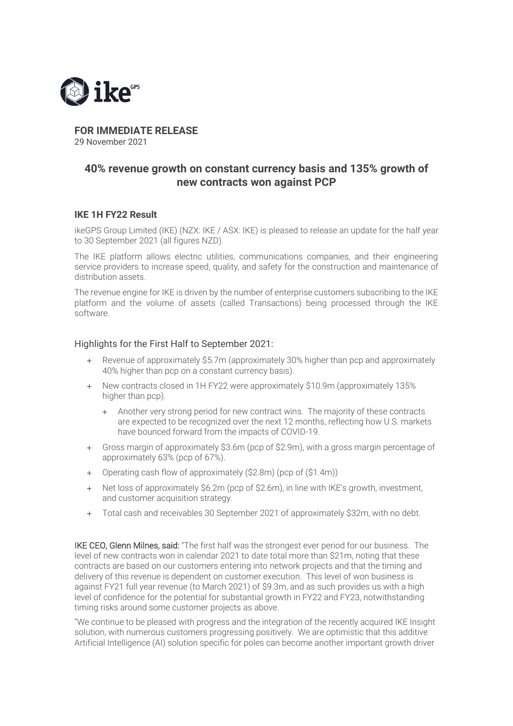

**FOR IMMEDIATE RELEASE** 29 November 2021

### **40% revenue growth on constant currency basis and 135% growth of new contracts won against PCP**

#### **IKE 1H FY22 Result**

ikeGPS Group Limited (IKE) (NZX: IKE / ASX: IKE) is pleased to release an update for the half year to 30 September 2021 (all figures NZD).

The IKE platform allows electric utilities, communications companies, and their engineering service providers to increase speed, quality, and safety for the construction and maintenance of distribution assets.

The revenue engine for IKE is driven by the number of enterprise customers subscribing to the IKE platform and the volume of assets (called Transactions) being processed through the IKE software.

#### Highlights for the First Half to September 2021:

- + Revenue of approximately \$5.7m (approximately 30% higher than pcp and approximately 40% higher than pcp on a constant currency basis).
- + New contracts closed in 1H FY22 were approximately \$10.9m (approximately 135% higher than pcp).
	- + Another very strong period for new contract wins. The majority of these contracts are expected to be recognized over the next 12 months, reflecting how U.S. markets have bounced forward from the impacts of COVID-19.
- + Gross margin of approximately \$3.6m (pcp of \$2.9m), with a gross margin percentage of approximately 63% (pcp of 67%).
- + Operating cash flow of approximately (\$2.8m) (pcp of (\$1.4m))
- + Net loss of approximately \$6.2m (pcp of \$2.6m), in line with IKE's growth, investment, and customer acquisition strategy.
- + Total cash and receivables 30 September 2021 of approximately \$32m, with no debt.

IKE CEO, Glenn Milnes, said: "The first half was the strongest ever period for our business. The level of new contracts won in calendar 2021 to date total more than \$21m, noting that these contracts are based on our customers entering into network projects and that the timing and delivery of this revenue is dependent on customer execution. This level of won business is against FY21 full year revenue (to March 2021) of \$9.3m, and as such provides us with a high level of confidence for the potential for substantial growth in FY22 and FY23, notwithstanding timing risks around some customer projects as above.

"We continue to be pleased with progress and the integration of the recently acquired IKE Insight solution, with numerous customers progressing positively. We are optimistic that this additive Artificial Intelligence (AI) solution specific for poles can become another important growth driver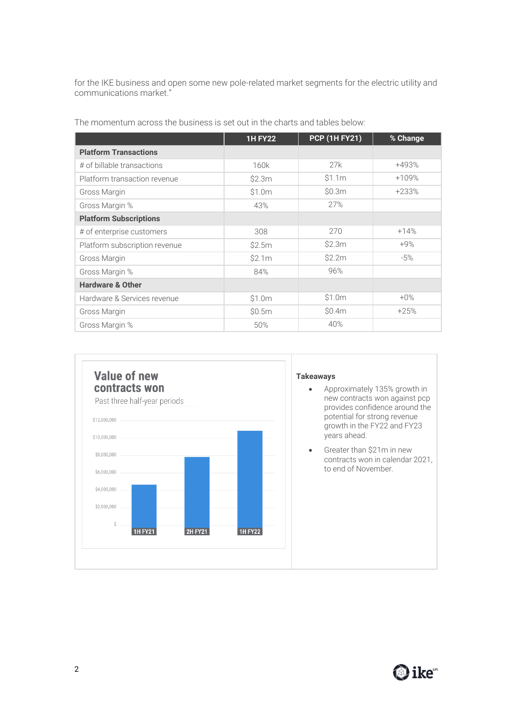for the IKE business and open some new pole-related market segments for the electric utility and communications market."

|                               | <b>1H FY22</b> | <b>PCP (1H FY21)</b> | % Change |
|-------------------------------|----------------|----------------------|----------|
| <b>Platform Transactions</b>  |                |                      |          |
| # of billable transactions    | 160k           | 27k                  | +493%    |
| Platform transaction revenue  | \$2.3m         | \$1.1m               | $+109%$  |
| Gross Margin                  | \$1.0m         | \$0.3m               | $+233%$  |
| Gross Margin %                | 43%            | 27%                  |          |
| <b>Platform Subscriptions</b> |                |                      |          |
| # of enterprise customers     | 308            | 270                  | $+14%$   |
| Platform subscription revenue | \$2.5m         | \$2.3m               | $+9%$    |
| Gross Margin                  | \$2.1m         | \$2.2m               | $-5%$    |
| Gross Margin %                | 84%            | 96%                  |          |
| <b>Hardware &amp; Other</b>   |                |                      |          |
| Hardware & Services revenue   | \$1.0m         | \$1.0m               | $+0\%$   |
| Gross Margin                  | \$0.5m         | \$0.4m               | $+25%$   |
| Gross Margin %                | 50%            | 40%                  |          |

The momentum across the business is set out in the charts and tables below:



# **O**ike®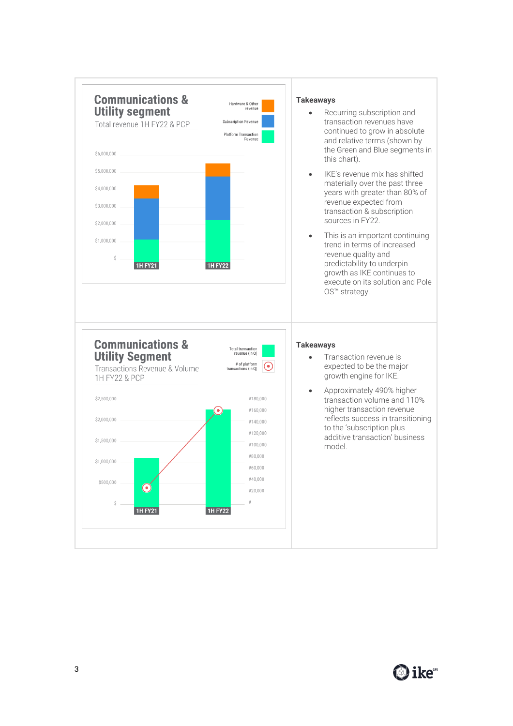

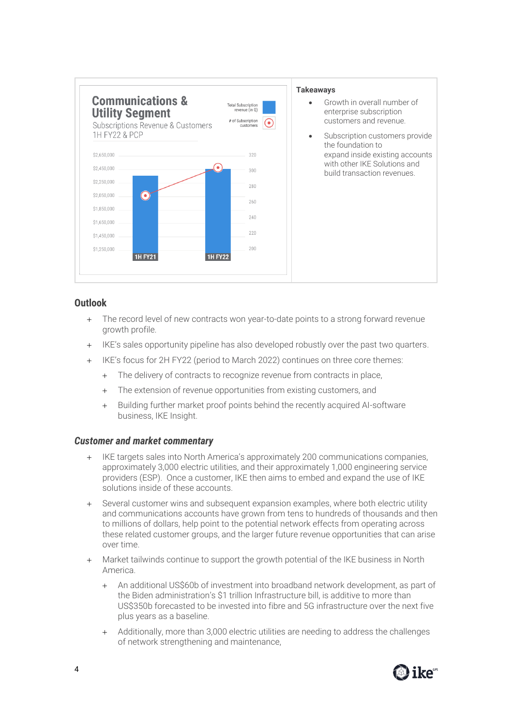

#### **Outlook**

- + The record level of new contracts won year-to-date points to a strong forward revenue growth profile.
- + IKE's sales opportunity pipeline has also developed robustly over the past two quarters.
	- IKE's focus for 2H FY22 (period to March 2022) continues on three core themes:
		- + The delivery of contracts to recognize revenue from contracts in place,
		- + The extension of revenue opportunities from existing customers, and
		- + Building further market proof points behind the recently acquired AI-software business, IKE Insight.

#### *Customer and market commentary*

- IKE targets sales into North America's approximately 200 communications companies, approximately 3,000 electric utilities, and their approximately 1,000 engineering service providers (ESP). Once a customer, IKE then aims to embed and expand the use of IKE solutions inside of these accounts.
- + Several customer wins and subsequent expansion examples, where both electric utility and communications accounts have grown from tens to hundreds of thousands and then to millions of dollars, help point to the potential network effects from operating across these related customer groups, and the larger future revenue opportunities that can arise over time.
- + Market tailwinds continue to support the growth potential of the IKE business in North America.
	- + An additional US\$60b of investment into broadband network development, as part of the Biden administration's \$1 trillion Infrastructure bill, is additive to more than US\$350b forecasted to be invested into fibre and 5G infrastructure over the next five plus years as a baseline.
	- + Additionally, more than 3,000 electric utilities are needing to address the challenges of network strengthening and maintenance,

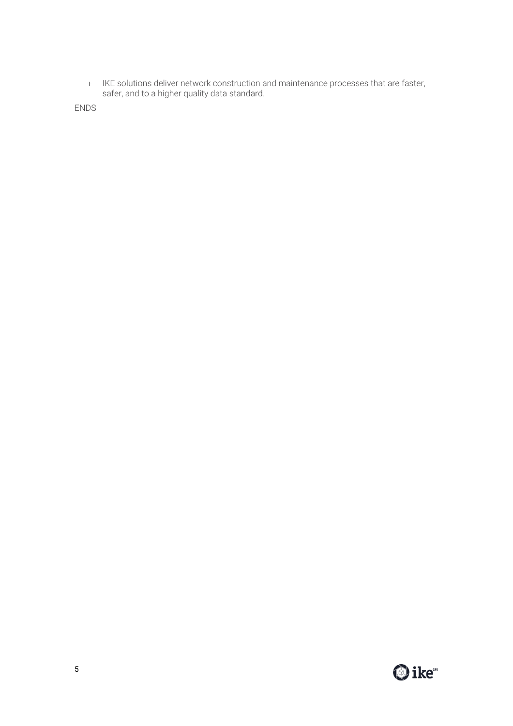+ IKE solutions deliver network construction and maintenance processes that are faster, safer, and to a higher quality data standard.

ENDS